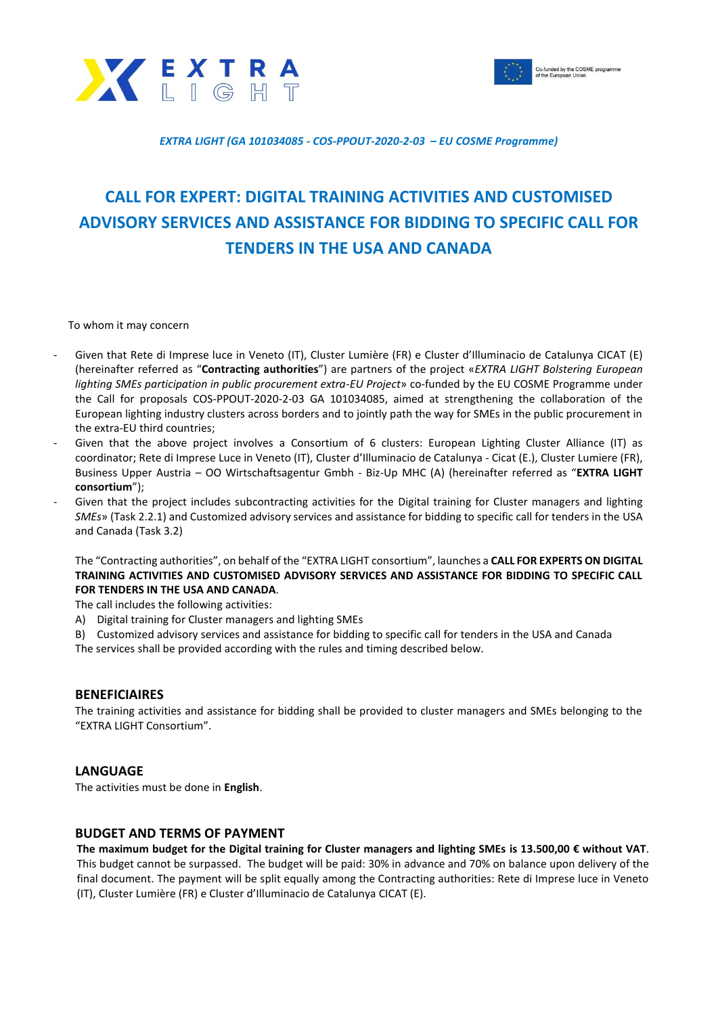



#### *EXTRA LIGHT (GA 101034085 - COS-PPOUT-2020-2-03 – EU COSME Programme)*

# **CALL FOR EXPERT: DIGITAL TRAINING ACTIVITIES AND CUSTOMISED ADVISORY SERVICES AND ASSISTANCE FOR BIDDING TO SPECIFIC CALL FOR TENDERS IN THE USA AND CANADA**

To whom it may concern

- Given that Rete di Imprese luce in Veneto (IT), Cluster Lumière (FR) e Cluster d'Illuminacio de Catalunya CICAT (E) (hereinafter referred as "**Contracting authorities**") are partners of the project «*EXTRA LIGHT Bolstering European lighting SMEs participation in public procurement extra-EU Project*» co-funded by the EU COSME Programme under the Call for proposals COS-PPOUT-2020-2-03 GA 101034085, aimed at strengthening the collaboration of the European lighting industry clusters across borders and to jointly path the way for SMEs in the public procurement in the extra-EU third countries;
- Given that the above project involves a Consortium of 6 clusters: European Lighting Cluster Alliance (IT) as coordinator; Rete di Imprese Luce in Veneto (IT), Cluster d'Illuminacio de Catalunya - Cicat (E.), Cluster Lumiere (FR), Business Upper Austria – OO Wirtschaftsagentur Gmbh - Biz-Up MHC (A) (hereinafter referred as "**EXTRA LIGHT consortium**");
- Given that the project includes subcontracting activities for the Digital training for Cluster managers and lighting *SMEs*» (Task 2.2.1) and Customized advisory services and assistance for bidding to specific call for tenders in the USA and Canada (Task 3.2)

The "Contracting authorities", on behalf of the "EXTRA LIGHT consortium", launches a **CALL FOR EXPERTS ON DIGITAL TRAINING ACTIVITIES AND CUSTOMISED ADVISORY SERVICES AND ASSISTANCE FOR BIDDING TO SPECIFIC CALL FOR TENDERS IN THE USA AND CANADA**.

The call includes the following activities:

- A) Digital training for Cluster managers and lighting SMEs
- B) Customized advisory services and assistance for bidding to specific call for tenders in the USA and Canada
- The services shall be provided according with the rules and timing described below.

#### **BENEFICIAIRES**

The training activities and assistance for bidding shall be provided to cluster managers and SMEs belonging to the "EXTRA LIGHT Consortium".

## **LANGUAGE**

The activities must be done in **English**.

## **BUDGET AND TERMS OF PAYMENT**

**The maximum budget for the Digital training for Cluster managers and lighting SMEs is 13.500,00 € without VAT**. This budget cannot be surpassed. The budget will be paid: 30% in advance and 70% on balance upon delivery of the final document. The payment will be split equally among the Contracting authorities: Rete di Imprese luce in Veneto (IT), Cluster Lumière (FR) e Cluster d'Illuminacio de Catalunya CICAT (E).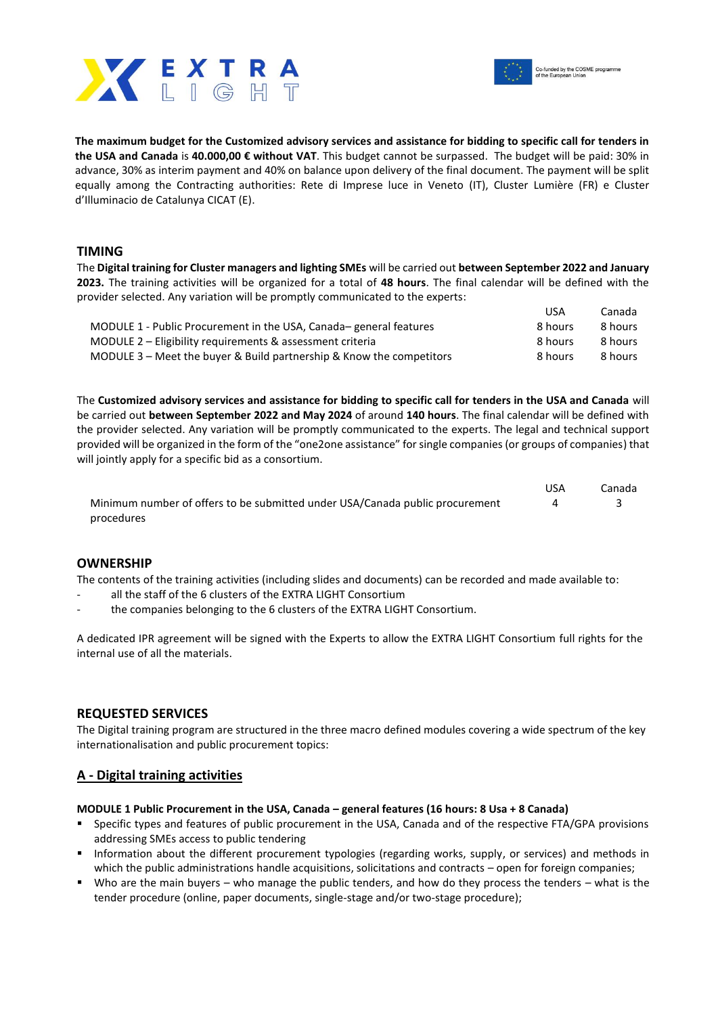



**The maximum budget for the Customized advisory services and assistance for bidding to specific call for tenders in the USA and Canada** is **40.000,00 € without VAT**. This budget cannot be surpassed. The budget will be paid: 30% in advance, 30% as interim payment and 40% on balance upon delivery of the final document. The payment will be split equally among the Contracting authorities: Rete di Imprese luce in Veneto (IT), Cluster Lumière (FR) e Cluster d'Illuminacio de Catalunya CICAT (E).

## **TIMING**

The **Digital training for Cluster managers and lighting SMEs** will be carried out **between September 2022 and January 2023.** The training activities will be organized for a total of **48 hours**. The final calendar will be defined with the provider selected. Any variation will be promptly communicated to the experts: USA Canada

|                                                                      | <b>USA</b> | canada  |
|----------------------------------------------------------------------|------------|---------|
| MODULE 1 - Public Procurement in the USA, Canada-general features    | 8 hours    | 8 hours |
| MODULE 2 – Eligibility requirements & assessment criteria            | 8 hours    | 8 hours |
| MODULE 3 – Meet the buyer & Build partnership & Know the competitors | 8 hours    | 8 hours |

The **Customized advisory services and assistance for bidding to specific call for tenders in the USA and Canada** will be carried out **between September 2022 and May 2024** of around **140 hours**. The final calendar will be defined with the provider selected. Any variation will be promptly communicated to the experts. The legal and technical support provided will be organized in the form of the "one2one assistance" for single companies (or groups of companies) that will jointly apply for a specific bid as a consortium.

|                                                                              | USA | Canada |
|------------------------------------------------------------------------------|-----|--------|
| Minimum number of offers to be submitted under USA/Canada public procurement |     |        |
| procedures                                                                   |     |        |

## **OWNERSHIP**

The contents of the training activities (including slides and documents) can be recorded and made available to:

- all the staff of the 6 clusters of the EXTRA LIGHT Consortium
- the companies belonging to the 6 clusters of the EXTRA LIGHT Consortium.

A dedicated IPR agreement will be signed with the Experts to allow the EXTRA LIGHT Consortium full rights for the internal use of all the materials.

## **REQUESTED SERVICES**

The Digital training program are structured in the three macro defined modules covering a wide spectrum of the key internationalisation and public procurement topics:

## **A - Digital training activities**

#### **MODULE 1 Public Procurement in the USA, Canada – general features (16 hours: 8 Usa + 8 Canada)**

- Specific types and features of public procurement in the USA, Canada and of the respective FTA/GPA provisions addressing SMEs access to public tendering
- Information about the different procurement typologies (regarding works, supply, or services) and methods in which the public administrations handle acquisitions, solicitations and contracts – open for foreign companies;
- Who are the main buyers who manage the public tenders, and how do they process the tenders what is the tender procedure (online, paper documents, single-stage and/or two-stage procedure);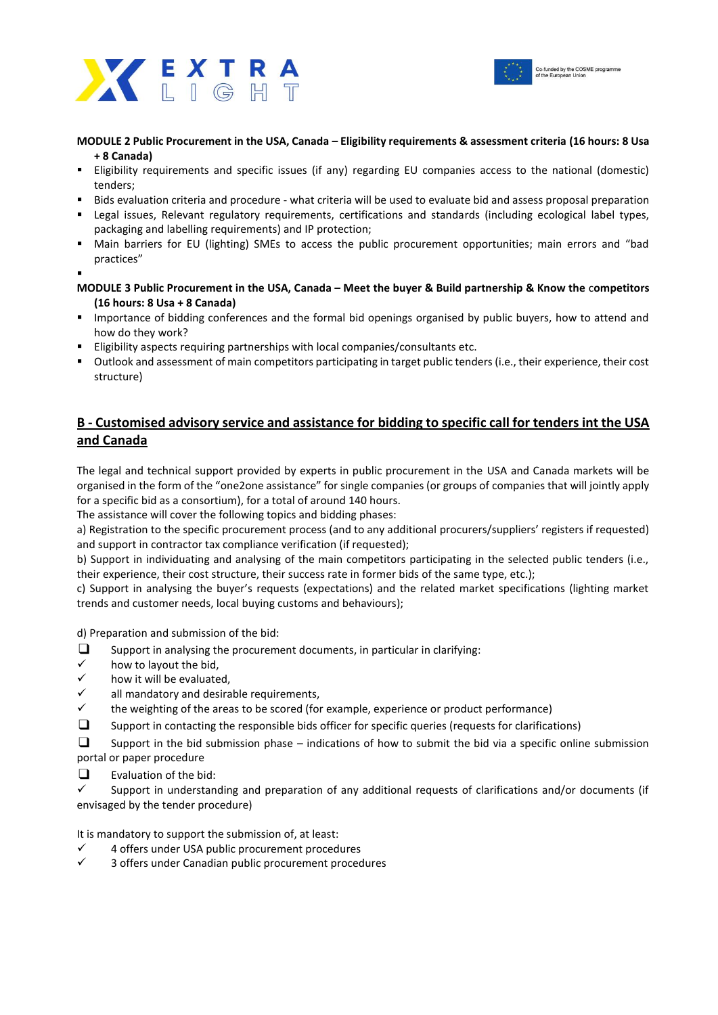



## **MODULE 2 Public Procurement in the USA, Canada – Eligibility requirements & assessment criteria (16 hours: 8 Usa + 8 Canada)**

- Eligibility requirements and specific issues (if any) regarding EU companies access to the national (domestic) tenders;
- Bids evaluation criteria and procedure what criteria will be used to evaluate bid and assess proposal preparation
- Legal issues, Relevant regulatory requirements, certifications and standards (including ecological label types, packaging and labelling requirements) and IP protection;
- Main barriers for EU (lighting) SMEs to access the public procurement opportunities; main errors and "bad practices"
- ▪
- **MODULE 3 Public Procurement in the USA, Canada – Meet the buyer & Build partnership & Know the** c**ompetitors (16 hours: 8 Usa + 8 Canada)**
- Importance of bidding conferences and the formal bid openings organised by public buyers, how to attend and how do they work?
- Eligibility aspects requiring partnerships with local companies/consultants etc.
- Outlook and assessment of main competitors participating in target public tenders (i.e., their experience, their cost structure)

## **B - Customised advisory service and assistance for bidding to specific call for tenders int the USA and Canada**

The legal and technical support provided by experts in public procurement in the USA and Canada markets will be organised in the form of the "one2one assistance" for single companies (or groups of companies that will jointly apply for a specific bid as a consortium), for a total of around 140 hours.

The assistance will cover the following topics and bidding phases:

a) Registration to the specific procurement process (and to any additional procurers/suppliers' registers if requested) and support in contractor tax compliance verification (if requested);

b) Support in individuating and analysing of the main competitors participating in the selected public tenders (i.e., their experience, their cost structure, their success rate in former bids of the same type, etc.);

c) Support in analysing the buyer's requests (expectations) and the related market specifications (lighting market trends and customer needs, local buying customs and behaviours);

d) Preparation and submission of the bid:

- ❑ Support in analysing the procurement documents, in particular in clarifying:
- how to layout the bid,
- how it will be evaluated,
- all mandatory and desirable requirements.
- the weighting of the areas to be scored (for example, experience or product performance)
- ❑ Support in contacting the responsible bids officer for specific queries (requests for clarifications)
- ❑ Support in the bid submission phase indications of how to submit the bid via a specific online submission portal or paper procedure
- $\Box$  Evaluation of the bid:

Support in understanding and preparation of any additional requests of clarifications and/or documents (if envisaged by the tender procedure)

It is mandatory to support the submission of, at least:

- ✓ 4 offers under USA public procurement procedures
- 3 offers under Canadian public procurement procedures